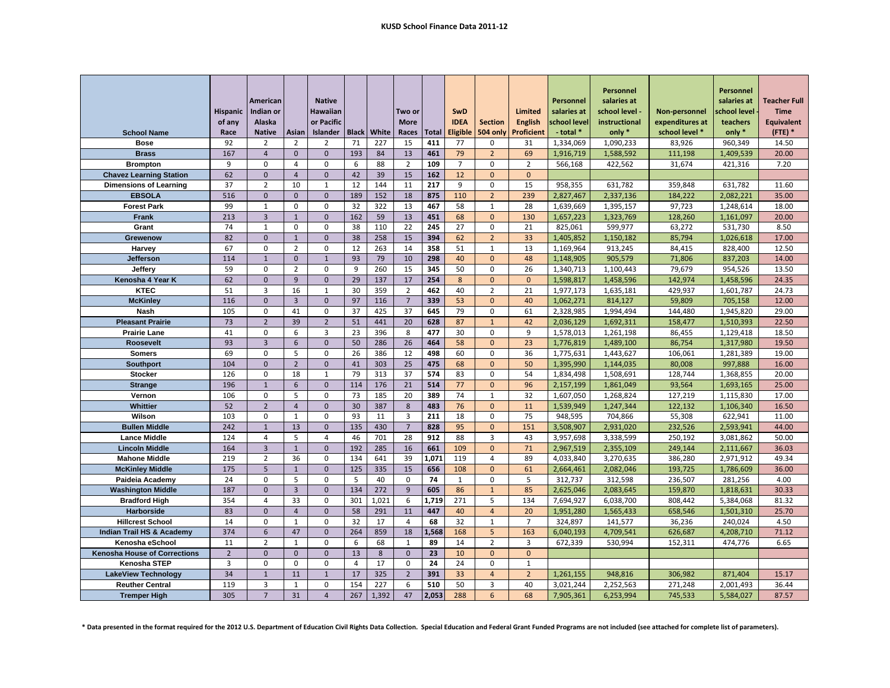|                                              | <b>Hispanic</b> | American<br>Indian or          |                | <b>Native</b><br><b>Hawaiian</b> |                |            | Two or               |              | <b>SwD</b>      |                  | <b>Limited</b>    | Personnel<br>salaries at | <b>Personnel</b><br>salaries at<br>school level - | Non-personnel      | Personnel<br>salaries at<br>chool level | <b>Teacher Full</b><br><b>Time</b> |
|----------------------------------------------|-----------------|--------------------------------|----------------|----------------------------------|----------------|------------|----------------------|--------------|-----------------|------------------|-------------------|--------------------------|---------------------------------------------------|--------------------|-----------------------------------------|------------------------------------|
|                                              | of any          | Alaska                         |                | or Pacific                       |                |            | <b>More</b>          |              | <b>IDEA</b>     | <b>Section</b>   | <b>English</b>    | school level             | instructional                                     | expenditures at    | teachers                                | <b>Equivalent</b>                  |
| <b>School Name</b>                           | Race            | <b>Native</b>                  | Asian          | <b>Islander</b>                  | <b>Black</b>   | White      | Races                | <b>Total</b> | <b>Eligible</b> | 504 only         | <b>Proficient</b> | - total *                | only *                                            | school level *     | only $*$                                | $($ FTE) $*$                       |
| <b>Bose</b>                                  | 92              | $\overline{2}$                 | $\overline{2}$ | $\overline{2}$                   | 71             | 227        | 15                   | 411          | 77              | 0                | 31                | 1,334,069                | 1,090,233                                         | 83,926             | 960,349                                 | 14.50                              |
| <b>Brass</b>                                 | 167             | $\overline{4}$                 | $\mathbf 0$    | $\mathbf{0}$                     | 193            | 84         | 13                   | 461          | 79              | $\overline{2}$   | 69                | 1,916,719                | 1,588,592                                         | 111,198            | 1,409,539                               | 20.00                              |
| <b>Brompton</b>                              | 9               | $\pmb{0}$                      | $\overline{4}$ | $\mathbf 0$                      | 6              | 88         | $\overline{2}$       | 109          | $\overline{7}$  | $\pmb{0}$        | $\mathbf{2}$      | 566,168                  | 422,562                                           | 31,674             | 421,316                                 | 7.20                               |
| <b>Chavez Learning Station</b>               | 62              | $\mathbf{0}$                   | $\overline{4}$ | $\mathbf{0}$                     | 42             | 39         | 15                   | 162          | 12              | $\Omega$         | $\mathbf{0}$      |                          |                                                   |                    |                                         |                                    |
| <b>Dimensions of Learning</b>                | 37              | $\overline{2}$                 | 10             | 1                                | 12             | 144        | 11                   | 217          | 9               | $\mathbf 0$      | 15                | 958,355                  | 631,782                                           | 359,848            | 631,782                                 | 11.60                              |
| <b>EBSOLA</b>                                | 516             | $\mathbf{0}$                   | $\mathbf{0}$   | $\Omega$                         | 189            | 152        | 18                   | 875          | 110             | $\overline{2}$   | 239               | 2,827,467                | 2,337,136                                         | 184,222            | 2,082,221                               | 35.00                              |
| <b>Forest Park</b>                           | 99              | 1                              | $\mathbf 0$    | $\Omega$                         | 32             | 322        | 13                   | 467          | 58              | $\mathbf{1}$     | 28                | 1,639,669                | 1,395,157                                         | 97,723             | 1,248,614                               | 18.00                              |
| <b>Frank</b>                                 | 213             | $\overline{3}$                 | $\mathbf{1}$   | $\Omega$                         | 162            | 59         | 13                   | 451          | 68              | $\Omega$         | 130               | 1,657,223                | 1,323,769                                         | 128,260            | 1,161,097                               | 20.00                              |
| Grant                                        | 74              | $\mathbf{1}$                   | $\mathbf 0$    | $\Omega$                         | 38             | 110        | 22                   | 245          | 27              | $\mathbf 0$      | 21                | 825,061                  | 599,977                                           | 63,272             | 531,730                                 | 8.50                               |
| <b>Grewenow</b>                              | 82              | $\mathbf 0$                    | $\mathbf{1}$   | $\mathbf{0}$                     | 38             | 258        | 15                   | 394          | 62              | $\overline{2}$   | 33                | 1,405,852                | 1,150,182                                         | 85,794             | 1,026,618                               | 17.00                              |
| Harvey                                       | 67              | 0                              | $\overline{2}$ | $\mathbf 0$                      | 12             | 263        | 14                   | 358          | 51              | $\mathbf{1}$     | 13                | 1,169,964                | 913,245                                           | 84,415             | 828,400                                 | 12.50                              |
| Jefferson                                    | 114             | $\mathbf{1}$                   | $\mathbf 0$    | $\mathbf{1}$                     | 93             | 79         | 10                   | 298          | 40              | $\mathbf{0}$     | 48                | 1,148,905                | 905,579                                           | 71,806             | 837,203                                 | 14.00                              |
| Jeffery                                      | 59              | $\mathbf 0$                    | $\overline{2}$ | $\mathbf 0$                      | 9              | 260        | 15                   | 345          | 50              | $\mathbf 0$      | 26                | 1,340,713                | 1,100,443                                         | 79,679             | 954,526                                 | 13.50                              |
| Kenosha 4 Year K                             | 62              | $\mathbf{0}$                   | 9              | $\mathbf{0}$                     | 29             | 137        | 17                   | 254          | 8               | $\mathbf{0}$     | $\mathbf 0$       | 1,598,817                | 1,458,596                                         | 142,974            | 1,458,596                               | 24.35                              |
| <b>KTEC</b>                                  | 51              | 3                              | 16             | $\mathbf{1}$                     | 30             | 359        | $\overline{2}$       | 462          | 40              | $\overline{2}$   | 21                | 1,977,173                | 1,635,181                                         | 429,937            | 1,601,787                               | 24.73                              |
| <b>McKinley</b>                              | 116             | $\overline{0}$                 | $\overline{3}$ | $\mathbf{0}$                     | 97             | 116        | $\overline{7}$       | 339          | 53              | $\mathbf{0}$     | 40                | 1,062,271                | 814,127                                           | 59,809             | 705,158                                 | 12.00                              |
| <b>Nash</b>                                  | 105             | $\mathbf 0$                    | 41             | $\mathbf 0$                      | 37             | 425        | 37                   | 645          | 79              | $\mathbf 0$      | 61                | 2,328,985                | 1,994,494                                         | 144,480            | 1,945,820                               | 29.00                              |
| <b>Pleasant Prairie</b>                      | 73              | $\overline{2}$                 | 39             | $\overline{2}$                   | 51             | 441        | 20                   | 628          | 87              | $\mathbf{1}$     | 42                | 2,036,129                | 1,692,311                                         | 158,477            | 1,510,393                               | 22.50                              |
| <b>Prairie Lane</b>                          | 41              | $\mathbf 0$                    | 6              | $\overline{3}$                   | 23             | 396        | 8                    | 477          | 30              | $\mathbf 0$      | 9                 | 1,578,013                | 1,261,198                                         | 86,455             | 1,129,418                               | 18.50                              |
| <b>Roosevelt</b>                             | 93              | $\overline{3}$                 | 6              | $\mathbf{0}$                     | 50             | 286        | 26                   | 464          | 58              | $\mathbf{0}$     | 23                | 1,776,819                | 1,489,100                                         | 86,754             | 1,317,980                               | 19.50                              |
| <b>Somers</b>                                | 69              | $\mathbf 0$                    | 5              | $\mathbf 0$                      | 26             | 386        | 12                   | 498          | 60              | $\mathbf 0$      | 36                | 1,775,631                | 1,443,627                                         | 106,061            | 1,281,389                               | 19.00                              |
| <b>Southport</b>                             | 104             | $\mathbf{0}$                   | $\overline{2}$ | $\mathbf{0}$                     | 41             | 303        | 25                   | 475          | 68              | $\mathbf{0}$     | 50                | 1,395,990                | 1,144,035                                         | 80,008             | 997,888                                 | 16.00                              |
| <b>Stocker</b>                               | 126             | 0                              | 18             | $\mathbf{1}$                     | 79             | 313        | 37                   | 574          | 83              | $\mathbf 0$      | 54                | 1,834,498                | 1,508,691                                         | 128,744            | 1,368,855                               | 20.00                              |
| <b>Strange</b>                               | 196             | $\mathbf 1$                    | $\sqrt{6}$     | $\mathbf 0$                      | 114            | 176        | 21                   | 514          | 77              | $\mathbf 0$      | 96                | 2,157,199                | 1,861,049                                         | 93,564             | 1,693,165                               | 25.00                              |
| Vernon                                       | 106             | 0                              | 5              | 0                                | 73             | 185        | 20                   | 389          | 74              | $\mathbf{1}$     | 32                | 1,607,050                | 1,268,824                                         | 127,219            | 1,115,830                               | 17.00                              |
| Whittier                                     | 52              | $\overline{2}$                 | $\overline{4}$ | $\mathbf 0$                      | 30             | 387        | $\bf 8$              | 483          | 76              | $\mathbf 0$      | 11                | 1,539,949                | 1,247,344                                         | 122,132            | 1,106,340                               | 16.50                              |
| Wilson                                       | 103             | 0                              | $\mathbf{1}$   | $\pmb{0}$                        | 93             | 11         | $\overline{3}$       | 211          | 18              | $\pmb{0}$        | 75                | 948,595                  | 704,866                                           | 55,308             | 622,941                                 | 11.00                              |
| <b>Bullen Middle</b>                         | 242<br>124      | $\mathbf{1}$<br>$\overline{4}$ | 13<br>5        | $\mathbf{0}$<br>$\overline{4}$   | 135<br>46      | 430<br>701 | $\overline{7}$<br>28 | 828<br>912   | 95<br>88        | $\mathbf 0$<br>3 | 151<br>43         | 3,508,907                | 2,931,020                                         | 232,526<br>250,192 | 2,593,941                               | 44.00                              |
| <b>Lance Middle</b><br><b>Lincoln Middle</b> | 164             | $\overline{3}$                 | $\mathbf{1}$   | $\mathbf{0}$                     | 192            | 285        | 16                   | 661          | 109             | $\mathbf{0}$     | 71                | 3,957,698<br>2,967,519   | 3,338,599<br>2,355,109                            | 249,144            | 3,081,862<br>2,111,667                  | 50.00<br>36.03                     |
| <b>Mahone Middle</b>                         | 219             | $\overline{2}$                 | 36             | $\mathbf 0$                      | 134            | 641        | 39                   | 1,071        | 119             | $\overline{4}$   | 89                | 4,033,840                | 3,270,635                                         | 386,280            | 2,971,912                               | 49.34                              |
| <b>McKinley Middle</b>                       | 175             | 5                              | $\mathbf{1}$   | $\mathbf{0}$                     | 125            | 335        | 15                   | 656          | 108             | $\mathbf{0}$     | 61                | 2,664,461                | 2,082,046                                         | 193,725            | 1,786,609                               | 36.00                              |
| Paideia Academy                              | 24              | $\mathbf 0$                    | 5              | $\Omega$                         | 5              | 40         | $\mathbf 0$          | 74           | $\mathbf{1}$    | $\mathbf 0$      | 5                 | 312,737                  | 312,598                                           | 236,507            | 281,256                                 | 4.00                               |
| <b>Washington Middle</b>                     | 187             | $\mathbf{0}$                   | $\overline{3}$ | $\Omega$                         | 134            | 272        | 9                    | 605          | 86              | $\mathbf{1}$     | 85                | 2,625,046                | 2,083,645                                         | 159,870            | 1,818,631                               | 30.33                              |
| <b>Bradford High</b>                         | 354             | $\overline{4}$                 | 33             | $\mathbf 0$                      | 301            | 1,021      | $\boldsymbol{6}$     | 1,719        | 271             | 5                | 134               | 7,694,927                | 6,038,700                                         | 808,442            | 5,384,068                               | 81.32                              |
| <b>Harborside</b>                            | 83              | $\mathbf 0$                    | $\overline{4}$ | $\Omega$                         | 58             | 291        | 11                   | 447          | 40              | $\overline{4}$   | 20                | 1,951,280                | 1,565,433                                         | 658,546            | 1,501,310                               | 25.70                              |
| <b>Hillcrest School</b>                      | 14              | $\pmb{0}$                      | $\mathbf{1}$   | $\Omega$                         | 32             | 17         | $\overline{4}$       | 68           | 32              | $1\,$            | $\overline{7}$    | 324,897                  | 141,577                                           | 36,236             | 240,024                                 | 4.50                               |
| <b>Indian Trail HS &amp; Academy</b>         | 374             | $6\phantom{1}$                 | 47             | $\mathbf{0}$                     | 264            | 859        | 18                   | 1,568        | 168             | 5 <sup>5</sup>   | 163               | 6,040,193                | 4,709,541                                         | 626,687            | 4,208,710                               | 71.12                              |
| Kenosha eSchool                              | 11              | $\overline{2}$                 | $\mathbf{1}$   | 0                                | 6              | 68         | $\mathbf{1}$         | 89           | 14              | $\overline{2}$   | 3                 | 672,339                  | 530,994                                           | 152,311            | 474,776                                 | 6.65                               |
| <b>Kenosha House of Corrections</b>          | $\overline{2}$  | $\overline{0}$                 | $\mathbf{0}$   | $\mathbf{0}$                     | 13             | 8          | $\mathbf 0$          | 23           | 10              | $\Omega$         | $\mathbf 0$       |                          |                                                   |                    |                                         |                                    |
| Kenosha STEP                                 | 3               | $\mathbf 0$                    | $\mathbf 0$    | $\Omega$                         | $\overline{4}$ | 17         | $\mathbf 0$          | 24           | 24              | $\mathbf 0$      | $1\,$             |                          |                                                   |                    |                                         |                                    |
| <b>LakeView Technology</b>                   | 34              | $\mathbf{1}$                   | 11             | $\mathbf{1}$                     | 17             | 325        | $\overline{2}$       | 391          | 33              | $\overline{4}$   | $\overline{2}$    | 1,261,155                | 948,816                                           | 306,982            | 871,404                                 | 15.17                              |
| <b>Reuther Central</b>                       | 119             | $\overline{3}$                 | $\mathbf{1}$   | $\Omega$                         | 154            | 227        | 6                    | 510          | 50              | $\overline{3}$   | 40                | 3,021,244                | 2,252,563                                         | 271,248            | 2,001,493                               | 36.44                              |
| <b>Tremper High</b>                          | 305             | $\overline{7}$                 | 31             | $\overline{4}$                   | 267            | 1,392      | 47                   | 2,053        | 288             | $6\overline{6}$  | 68                | 7,905,361                | 6,253,994                                         | 745,533            | 5,584,027                               | 87.57                              |

\* Data presented in the format required for the 2012 U.S. Department of Education Civil Rights Data Collection. Special Education and Federal Grant Funded Programs are not included (see attached for complete list of parame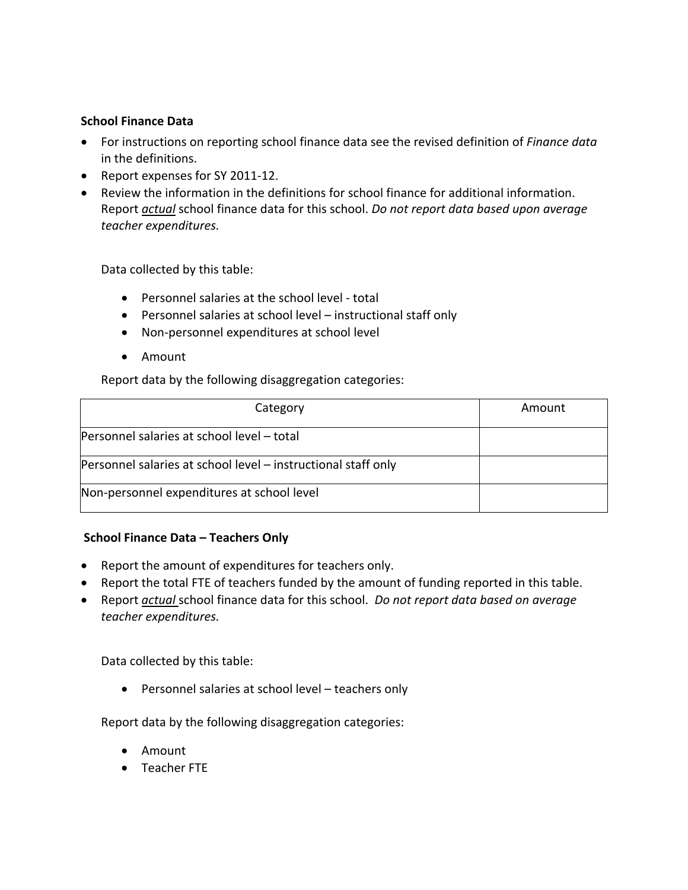## **School Finance Data**

- For instructions on reporting school finance data see the revised definition of *Finance data* in the definitions.
- Report expenses for SY 2011-12.
- Review the information in the definitions for school finance for additional information. Report *actual* school finance data for this school. *Do not report data based upon average teacher expenditures.*

Data collected by this table:

- Personnel salaries at the school level total
- Personnel salaries at school level instructional staff only
- Non-personnel expenditures at school level
- Amount

Report data by the following disaggregation categories:

| Category                                                      | Amount |
|---------------------------------------------------------------|--------|
| Personnel salaries at school level - total                    |        |
| Personnel salaries at school level - instructional staff only |        |
| Non-personnel expenditures at school level                    |        |

## **School Finance Data – Teachers Only**

- Report the amount of expenditures for teachers only.
- Report the total FTE of teachers funded by the amount of funding reported in this table.
- Report *actual* school finance data for this school. *Do not report data based on average teacher expenditures.*

Data collected by this table:

Personnel salaries at school level – teachers only

Report data by the following disaggregation categories:

- Amount
- Teacher FTE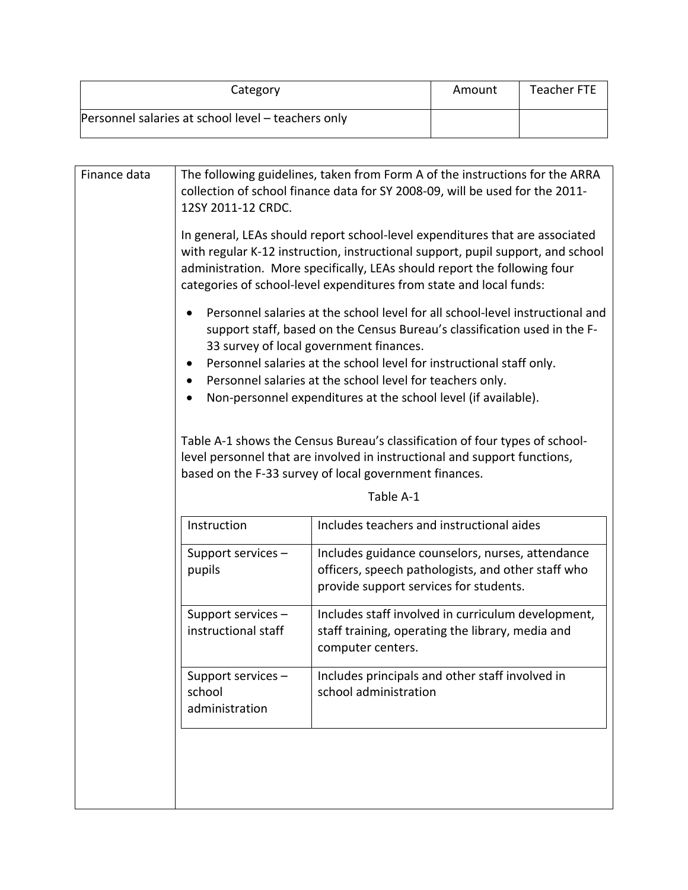| Category                                           | Amount | Teacher FTE |
|----------------------------------------------------|--------|-------------|
| Personnel salaries at school level – teachers only |        |             |

| The following guidelines, taken from Form A of the instructions for the ARRA<br>Finance data<br>collection of school finance data for SY 2008-09, will be used for the 2011-<br>12SY 2011-12 CRDC.<br>In general, LEAs should report school-level expenditures that are associated<br>administration. More specifically, LEAs should report the following four<br>categories of school-level expenditures from state and local funds:<br>support staff, based on the Census Bureau's classification used in the F-<br>33 survey of local government finances.<br>Personnel salaries at the school level for instructional staff only.<br>Personnel salaries at the school level for teachers only.<br>Non-personnel expenditures at the school level (if available).<br>Table A-1 shows the Census Bureau's classification of four types of school-<br>level personnel that are involved in instructional and support functions,<br>based on the F-33 survey of local government finances.<br>Table A-1<br>Instruction<br>Includes teachers and instructional aides<br>Support services -<br>Includes guidance counselors, nurses, attendance<br>pupils<br>officers, speech pathologists, and other staff who<br>provide support services for students.<br>Support services -<br>Includes staff involved in curriculum development,<br>instructional staff<br>staff training, operating the library, media and<br>computer centers.<br>Support services -<br>Includes principals and other staff involved in<br>school administration<br>school<br>administration |  |                                                                                 |  |  |  |  |  |  |  |  |
|-------------------------------------------------------------------------------------------------------------------------------------------------------------------------------------------------------------------------------------------------------------------------------------------------------------------------------------------------------------------------------------------------------------------------------------------------------------------------------------------------------------------------------------------------------------------------------------------------------------------------------------------------------------------------------------------------------------------------------------------------------------------------------------------------------------------------------------------------------------------------------------------------------------------------------------------------------------------------------------------------------------------------------------------------------------------------------------------------------------------------------------------------------------------------------------------------------------------------------------------------------------------------------------------------------------------------------------------------------------------------------------------------------------------------------------------------------------------------------------------------------------------------------------------------------------------|--|---------------------------------------------------------------------------------|--|--|--|--|--|--|--|--|
|                                                                                                                                                                                                                                                                                                                                                                                                                                                                                                                                                                                                                                                                                                                                                                                                                                                                                                                                                                                                                                                                                                                                                                                                                                                                                                                                                                                                                                                                                                                                                                   |  |                                                                                 |  |  |  |  |  |  |  |  |
|                                                                                                                                                                                                                                                                                                                                                                                                                                                                                                                                                                                                                                                                                                                                                                                                                                                                                                                                                                                                                                                                                                                                                                                                                                                                                                                                                                                                                                                                                                                                                                   |  | with regular K-12 instruction, instructional support, pupil support, and school |  |  |  |  |  |  |  |  |
|                                                                                                                                                                                                                                                                                                                                                                                                                                                                                                                                                                                                                                                                                                                                                                                                                                                                                                                                                                                                                                                                                                                                                                                                                                                                                                                                                                                                                                                                                                                                                                   |  | Personnel salaries at the school level for all school-level instructional and   |  |  |  |  |  |  |  |  |
|                                                                                                                                                                                                                                                                                                                                                                                                                                                                                                                                                                                                                                                                                                                                                                                                                                                                                                                                                                                                                                                                                                                                                                                                                                                                                                                                                                                                                                                                                                                                                                   |  |                                                                                 |  |  |  |  |  |  |  |  |
|                                                                                                                                                                                                                                                                                                                                                                                                                                                                                                                                                                                                                                                                                                                                                                                                                                                                                                                                                                                                                                                                                                                                                                                                                                                                                                                                                                                                                                                                                                                                                                   |  |                                                                                 |  |  |  |  |  |  |  |  |
|                                                                                                                                                                                                                                                                                                                                                                                                                                                                                                                                                                                                                                                                                                                                                                                                                                                                                                                                                                                                                                                                                                                                                                                                                                                                                                                                                                                                                                                                                                                                                                   |  |                                                                                 |  |  |  |  |  |  |  |  |
|                                                                                                                                                                                                                                                                                                                                                                                                                                                                                                                                                                                                                                                                                                                                                                                                                                                                                                                                                                                                                                                                                                                                                                                                                                                                                                                                                                                                                                                                                                                                                                   |  |                                                                                 |  |  |  |  |  |  |  |  |
|                                                                                                                                                                                                                                                                                                                                                                                                                                                                                                                                                                                                                                                                                                                                                                                                                                                                                                                                                                                                                                                                                                                                                                                                                                                                                                                                                                                                                                                                                                                                                                   |  |                                                                                 |  |  |  |  |  |  |  |  |
|                                                                                                                                                                                                                                                                                                                                                                                                                                                                                                                                                                                                                                                                                                                                                                                                                                                                                                                                                                                                                                                                                                                                                                                                                                                                                                                                                                                                                                                                                                                                                                   |  |                                                                                 |  |  |  |  |  |  |  |  |
|                                                                                                                                                                                                                                                                                                                                                                                                                                                                                                                                                                                                                                                                                                                                                                                                                                                                                                                                                                                                                                                                                                                                                                                                                                                                                                                                                                                                                                                                                                                                                                   |  |                                                                                 |  |  |  |  |  |  |  |  |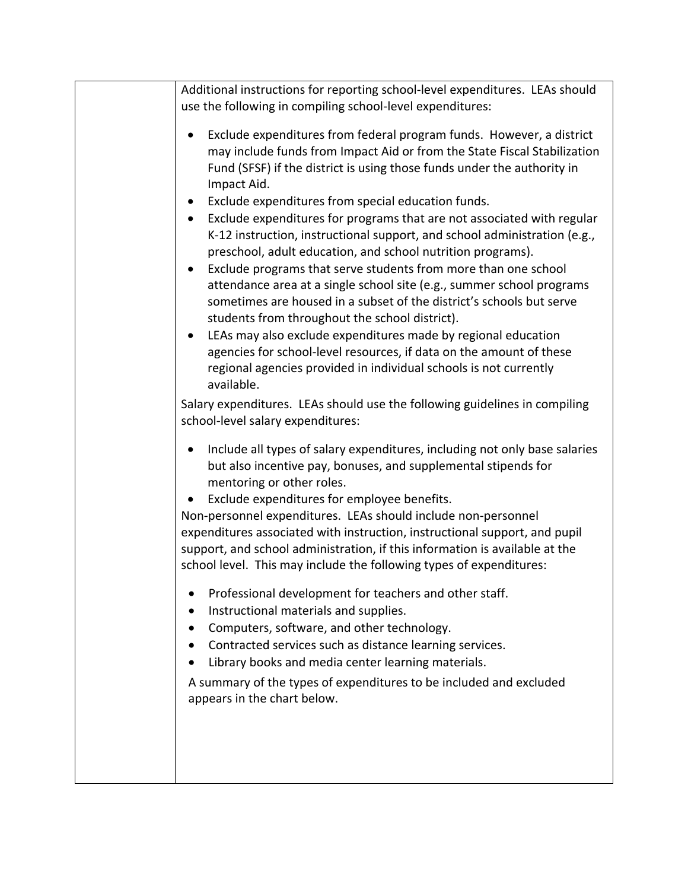| Additional instructions for reporting school-level expenditures. LEAs should<br>use the following in compiling school-level expenditures:                                                                                                                                                                                                                                                                                                                                                                                                                                                                                                                                                                                                                                                                                                                                                                                                                                                                                                                                                                                                              |
|--------------------------------------------------------------------------------------------------------------------------------------------------------------------------------------------------------------------------------------------------------------------------------------------------------------------------------------------------------------------------------------------------------------------------------------------------------------------------------------------------------------------------------------------------------------------------------------------------------------------------------------------------------------------------------------------------------------------------------------------------------------------------------------------------------------------------------------------------------------------------------------------------------------------------------------------------------------------------------------------------------------------------------------------------------------------------------------------------------------------------------------------------------|
| Exclude expenditures from federal program funds. However, a district<br>may include funds from Impact Aid or from the State Fiscal Stabilization<br>Fund (SFSF) if the district is using those funds under the authority in<br>Impact Aid.<br>Exclude expenditures from special education funds.<br>Exclude expenditures for programs that are not associated with regular<br>$\bullet$<br>K-12 instruction, instructional support, and school administration (e.g.,<br>preschool, adult education, and school nutrition programs).<br>Exclude programs that serve students from more than one school<br>attendance area at a single school site (e.g., summer school programs<br>sometimes are housed in a subset of the district's schools but serve<br>students from throughout the school district).<br>LEAs may also exclude expenditures made by regional education<br>agencies for school-level resources, if data on the amount of these<br>regional agencies provided in individual schools is not currently<br>available.<br>Salary expenditures. LEAs should use the following guidelines in compiling<br>school-level salary expenditures: |
| Include all types of salary expenditures, including not only base salaries<br>but also incentive pay, bonuses, and supplemental stipends for<br>mentoring or other roles.<br>Exclude expenditures for employee benefits.<br>Non-personnel expenditures. LEAs should include non-personnel<br>expenditures associated with instruction, instructional support, and pupil<br>support, and school administration, if this information is available at the<br>school level. This may include the following types of expenditures:<br>Professional development for teachers and other staff.<br>Instructional materials and supplies.<br>Computers, software, and other technology.<br>Contracted services such as distance learning services.<br>Library books and media center learning materials.<br>A summary of the types of expenditures to be included and excluded<br>appears in the chart below.                                                                                                                                                                                                                                                   |